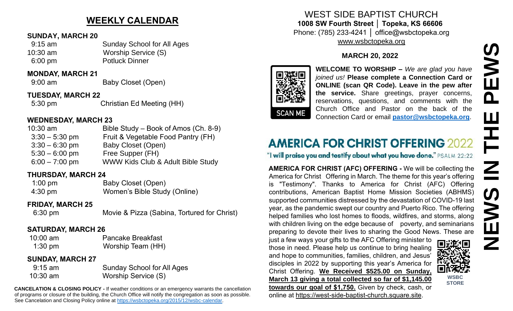# **WEEKLY CALENDAR**

#### **SUNDAY, MARCH 20**

- 9:15 am Sunday School for All Ages
- 10:30 am Worship Service (S) 6:00 pm Potluck Dinner

#### **MONDAY, MARCH 21**

9:00 am Baby Closet (Open)

#### **TUESDAY, MARCH 22**

5:30 pm Christian Ed Meeting (HH)

#### **WEDNESDAY, MARCH 23**

| $10:30$ am       | Bible Study – Book of Amos (Ch. 8-9) |
|------------------|--------------------------------------|
| $3:30 - 5:30$ pm | Fruit & Vegetable Food Pantry (FH)   |
| $3:30 - 6:30$ pm | <b>Baby Closet (Open)</b>            |
| $5:30 - 6:00$ pm | Free Supper (FH)                     |
| $6:00 - 7:00$ pm | WWW Kids Club & Adult Bible Study    |
|                  |                                      |

#### **THURSDAY, MARCH 24**

| $1:00 \text{ pm}$ | Baby Closet (Open)           |
|-------------------|------------------------------|
| $4:30 \text{ pm}$ | Women's Bible Study (Online) |

#### **FRIDAY, MARCH 25**

6:30 pm Movie & Pizza (Sabina, Tortured for Christ)

#### **SATURDAY, MARCH 26**

10:00 am Pancake Breakfast 1:30 pm Worship Team (HH)

### **SUNDAY, MARCH 27**

| $9:15$ am  | <b>Sunday School for All Ages</b> |
|------------|-----------------------------------|
| $10:30$ am | Worship Service (S)               |

**CANCELATION & CLOSING POLICY -** If weather conditions or an emergency warrants the cancellation of programs or closure of the building, the Church Office will notify the congregation as soon as possible. See Cancelation and Closing Policy online at [https://wsbctopeka.org/2015/12/wsbc-calendar.](https://wsbctopeka.org/2015/12/wsbc-calendar)

## WEST SIDE BAPTIST CHURCH **1008 SW Fourth Street │ Topeka, KS 66606** Phone: (785) 233-4241 │ office@wsbctopeka.org [www.wsbctopeka.org](http://www.wsbctopeka.org/)

## **MARCH 20, 2022**



**WELCOME TO WORSHIP –** *We are glad you have joined us!* **Please complete a Connection Card or ONLINE (scan QR Code). Leave in the pew after the service.** Share greetings, prayer concerns, reservations, questions, and comments with the Church Office and Pastor on the back of the Connection Card or email **[pastor@wsbctopeka.org](mailto:pastor@wsbctopeka.org)**.

# **AMERICA FOR CHRIST OFFERING 2022**

"I will praise you and testify about what you have done." PSALM 22:22

**AMERICA FOR CHRIST (AFC) OFFERING -** We will be collecting the America for Christ Offering in March. The theme for this year's offering is "Testimony". Thanks to America for Christ (AFC) Offering contributions, American Baptist Home Mission Societies (ABHMS) supported communities distressed by the devastation of COVID-19 last year, as the pandemic swept our country and Puerto Rico. The offering helped families who lost homes to floods, wildfires, and storms, along with children living on the edge because of poverty, and seminarians preparing to devote their lives to sharing the Good News. These are

just a few ways your gifts to the AFC Offering minister to those in need. Please help us continue to bring healing and hope to communities, families, children, and Jesus' disciples in 2022 by supporting this year's America for Christ Offering. **We Received \$525.00 on Sunday, March 13 giving a total collected so far of \$1,145.00 towards our goal of \$1,750.** Given by check, cash, or online at [https://west-side-baptist-church.square.site.](https://west-side-baptist-church.square.site/)



**NEWS IN THE PEWS**

존

 $\overline{\mathbf{Z}}$ 

 $\bm{\bm{\varepsilon}}$ 

Ш

**EWS** 

 $\mathbf{a}$